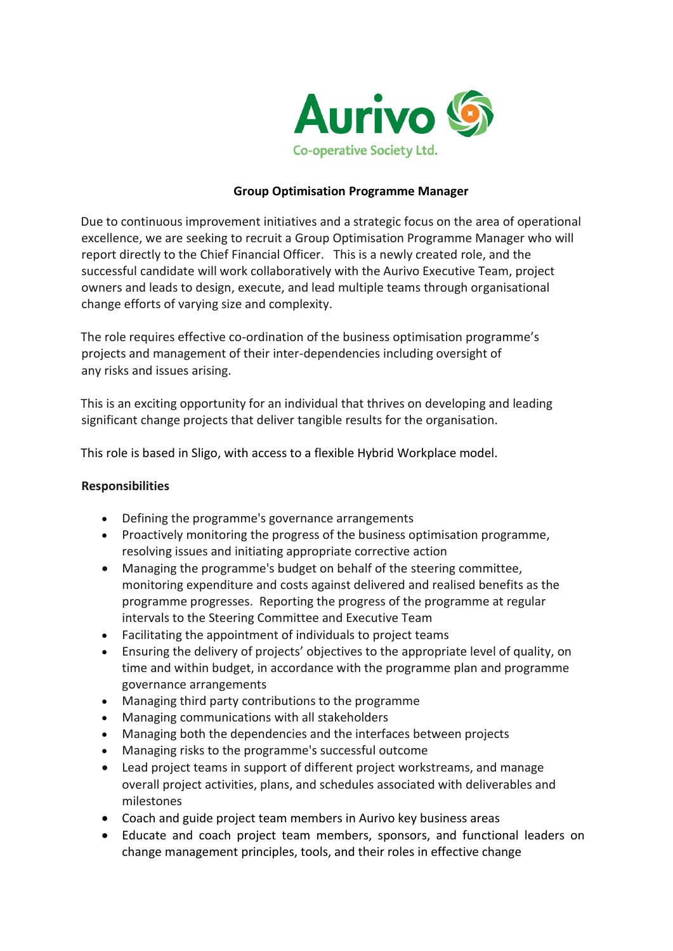

#### **Group Optimisation Programme Manager**

Due to continuous improvement initiatives and a strategic focus on the area of operational excellence, we are seeking to recruit a Group Optimisation Programme Manager who will report directly to the Chief Financial Officer. This is a newly created role, and the successful candidate will work collaboratively with the Aurivo Executive Team, project owners and leads to design, execute, and lead multiple teams through organisational change efforts of varying size and complexity.

The role requires effective co-ordination of the business optimisation [programme](https://www.finance-ni.gov.uk/articles/programme-management)'s projects and management of their inter-dependencies including oversight of any [risks](https://www.finance-ni.gov.uk/articles/programme-and-project-risk-management) and [issues](https://www.finance-ni.gov.uk/articles/programme-and-project-issues-management) arising.

This is an exciting opportunity for an individual that thrives on developing and leading significant change projects that deliver tangible results for the organisation.

This role is based in Sligo, with access to a flexible Hybrid Workplace model.

#### **Responsibilities**

- Defining the programme's governance arrangements
- Proactively monitoring the progress of the business optimisation programme, resolving issues and initiating appropriate corrective action
- Managing the programme's budget on behalf of the steering committee, monitoring expenditure and costs against delivered and realised benefits as the programme progresses. Reporting the progress of the programme at regular intervals to the Steering Committee and Executive Team
- Facilitating the appointment of individuals to [project teams](https://www.finance-ni.gov.uk/articles/roles-and-responsibilities-programme-or-project-team)
- Ensuring the delivery of projects' objectives to the appropriate level of quality, on time and within budget, in accordance with the programme plan and programme governance arrangements
- Managing third party contributions to the programme
- Managing [communications](https://www.finance-ni.gov.uk/articles/programme-and-project-management-communication) with all [stakeholders](https://www.finance-ni.gov.uk/articles/programme-and-project-stakeholders)
- Managing both the dependencies and the interfaces between projects
- Managing risks to the programme's successful outcome
- Lead project teams in support of different project workstreams, and manage overall project activities, plans, and schedules associated with deliverables and milestones
- Coach and guide project team members in Aurivo key business areas
- Educate and coach project team members, sponsors, and functional leaders on change management principles, tools, and their roles in effective change